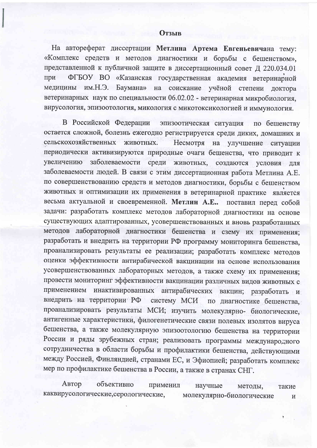На автореферат диссертации Метлина Артема Евгеньевичана тему: «Комплекс средств и методов диагностики и борьбы с бешенством», представленной к публичной защите в диссертационный совет Д 220.034.01 ФГБОУ ВО «Казанская государственная академия ветеринарной при медицины им.Н.Э. Баумана» на соискание учёной степени доктора ветеринарных наук по специальности 06.02.02 - ветеринарная микробиология. вирусология, эпизоотология, микология с микотоксикологией и иммунология.

В Российской Федерации эпизоотическая ситуация по бешенству остается сложной, болезнь ежегодно регистрируется среди диких, домашних и сельскохозяйственных животных. Несмотря на улучшение ситуации периодически активизируются природные очаги бешенства, что приводит к заболеваемости среди животных, создаются условия для увеличению заболеваемости людей. В связи с этим диссертационная работа Метлина А.Е. по совершенствованию средств и методов диагностики, борьбы с бешенством животных и оптимизации их применения в ветеринарной практике является весьма актуальной и своевременной. Метлин А.Е.. поставил перед собой задачи: разработать комплекс методов лабораторной диагностики на основе существующих адаптированных, усовершенствованных и вновь разработанных методов лабораторной диагностики бешенства и сзему их применения; разработать и внедрить на территории РФ программу мониторинга бешенства, проанализировать результаты ее реализации; разработать комплекс методов оценки эффективности антирабической вакцинации на основе использования усовершенствованных лабораторных методов, а также схему их применения; провести мониторинг эффективности вакцинации различных видов животных с инактивированных антирабических вакцин; разработать и применением внедрить на территории РФ систему МСИ по диагностике бешенства. проанализировать результаты МСИ; изучить молекулярно- биологические, антигенные характеристики, филогенетические связи полевых изолятов вируса бешенства, а также молекулярную эпизоотологию бешенства на территории России и ряды зрубежных стран; реализовать программы международного сотрудничества в области борьбы и профилактики бешенства, действующими между Россией, Финляндией, странами ЕС, и Эфиопией; разработать комплекс мер по профилактике бешенства в России, а также в странах СНГ.

Автор объективно применил научные методы, такие каквирусологические, серологические, молекулярно-биологические  $\, {\bf N}$